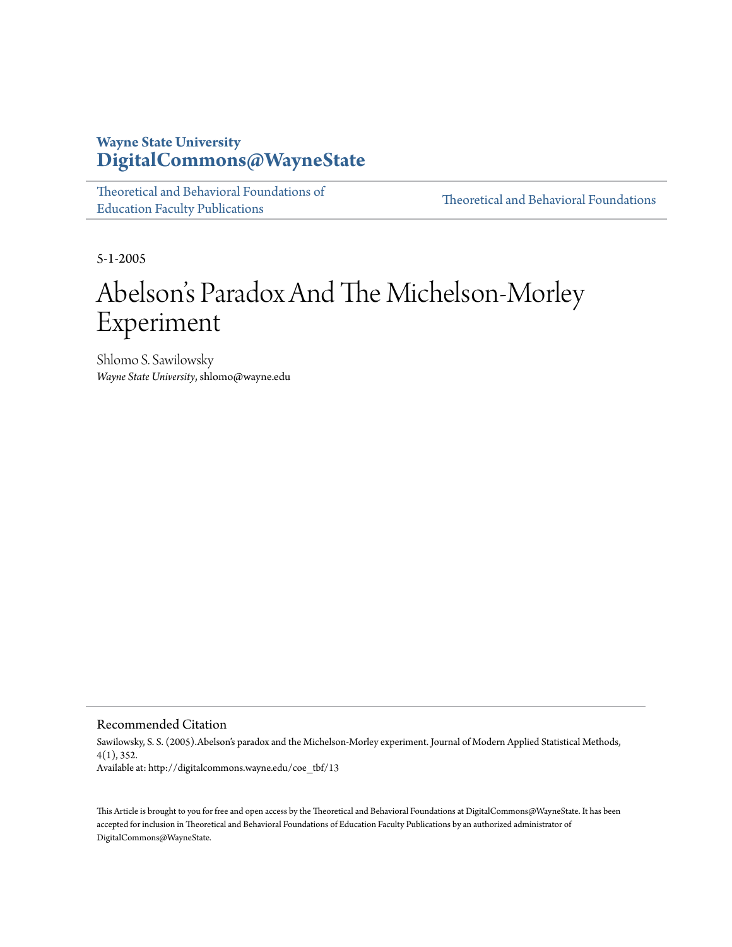## **Wayne State University [DigitalCommons@WayneState](http://digitalcommons.wayne.edu)**

| Theoretical and Behavioral Foundations of |  |
|-------------------------------------------|--|
| <b>Education Faculty Publications</b>     |  |

[Theoretical and Behavioral Foundations](http://digitalcommons.wayne.edu/tbf)

5-1-2005

## Abelson 's Paradox And The Michelson-Morley Experiment

Shlomo S. Sawilowsky *Wayne State University*, shlomo@wayne.edu

## Recommended Citation

Sawilowsky, S. S. (2005).Abelson's paradox and the Michelson-Morley experiment. Journal of Modern Applied Statistical Methods, 4(1), 352. Available at: http://digitalcommons.wayne.edu/coe\_tbf/13

This Article is brought to you for free and open access by the Theoretical and Behavioral Foundations at DigitalCommons@WayneState. It has been accepted for inclusion in Theoretical and Behavioral Foundations of Education Faculty Publications by an authorized administrator of DigitalCommons@WayneState.